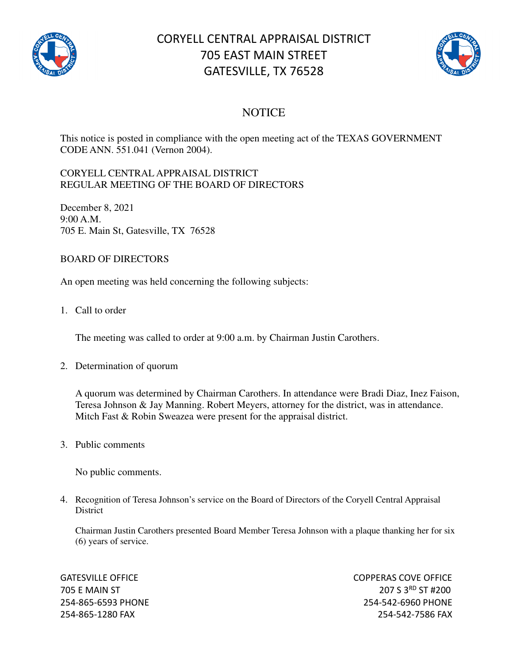

# CORYELL CENTRAL APPRAISAL DISTRICT 705 EAST MAIN STREET GATESVILLE, TX 76528



### **NOTICE**

This notice is posted in compliance with the open meeting act of the TEXAS GOVERNMENT CODE ANN. 551.041 (Vernon 2004).

#### CORYELL CENTRAL APPRAISAL DISTRICT REGULAR MEETING OF THE BOARD OF DIRECTORS

December 8, 2021 9:00 A.M. 705 E. Main St, Gatesville, TX 76528

#### BOARD OF DIRECTORS

An open meeting was held concerning the following subjects:

1. Call to order

The meeting was called to order at 9:00 a.m. by Chairman Justin Carothers.

2. Determination of quorum

A quorum was determined by Chairman Carothers. In attendance were Bradi Diaz, Inez Faison, Teresa Johnson & Jay Manning. Robert Meyers, attorney for the district, was in attendance. Mitch Fast & Robin Sweazea were present for the appraisal district.

3. Public comments

No public comments.

4. Recognition of Teresa Johnson's service on the Board of Directors of the Coryell Central Appraisal **District** 

Chairman Justin Carothers presented Board Member Teresa Johnson with a plaque thanking her for six (6) years of service.

GATESVILLE OFFICE **COPPERAS COVE OF EXAMPLE 2** 705 E MAIN ST 207 S 3<sup>RD</sup> ST #200 254-865-6593 PHONE 254-542-6960 PHONE 254-865-1280 FAX 254-542-7586 FAX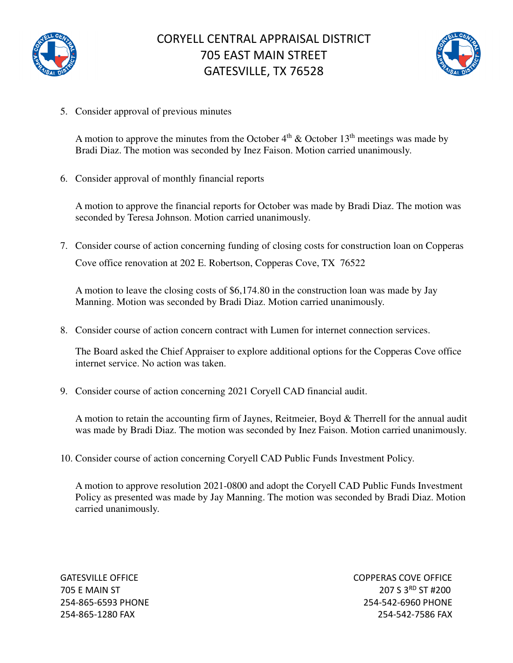

## CORYELL CENTRAL APPRAISAL DISTRICT 705 EAST MAIN STREET GATESVILLE, TX 76528



5. Consider approval of previous minutes

A motion to approve the minutes from the October  $4<sup>th</sup>$  & October 13<sup>th</sup> meetings was made by Bradi Diaz. The motion was seconded by Inez Faison. Motion carried unanimously.

6. Consider approval of monthly financial reports

A motion to approve the financial reports for October was made by Bradi Diaz. The motion was seconded by Teresa Johnson. Motion carried unanimously.

7. Consider course of action concerning funding of closing costs for construction loan on Copperas Cove office renovation at 202 E. Robertson, Copperas Cove, TX 76522

A motion to leave the closing costs of \$6,174.80 in the construction loan was made by Jay Manning. Motion was seconded by Bradi Diaz. Motion carried unanimously.

8. Consider course of action concern contract with Lumen for internet connection services.

The Board asked the Chief Appraiser to explore additional options for the Copperas Cove office internet service. No action was taken.

9. Consider course of action concerning 2021 Coryell CAD financial audit.

A motion to retain the accounting firm of Jaynes, Reitmeier, Boyd & Therrell for the annual audit was made by Bradi Diaz. The motion was seconded by Inez Faison. Motion carried unanimously.

10. Consider course of action concerning Coryell CAD Public Funds Investment Policy.

A motion to approve resolution 2021-0800 and adopt the Coryell CAD Public Funds Investment Policy as presented was made by Jay Manning. The motion was seconded by Bradi Diaz. Motion carried unanimously.

GATESVILLE OFFICE **COPPERAS COVE OF EXAMPLE 2** 705 E MAIN ST 207 S 3RD ST #200 254-865-6593 PHONE 254-542-6960 PHONE 254-865-1280 FAX 254-542-7586 FAX